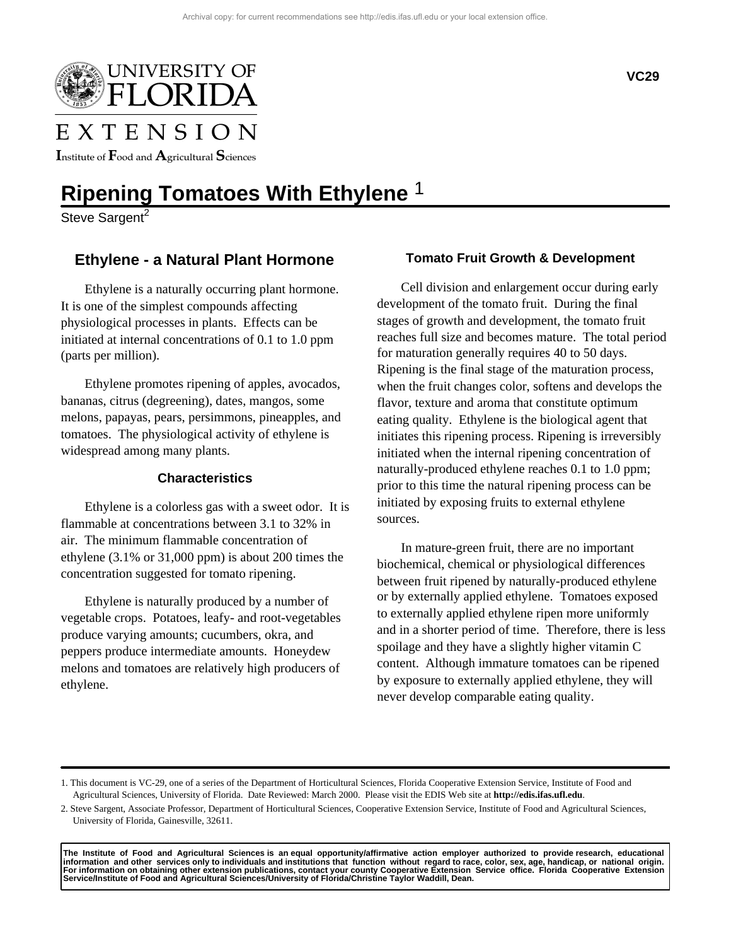

# EXTENSION

Institute of  $\rm F$ ood and  $\rm A$ gricultural  $\rm S$ ciences

## **Ripening Tomatoes With Ethylene** 1

Steve Sargent<sup>2</sup>

## **Ethylene - a Natural Plant Hormone**

Ethylene is a naturally occurring plant hormone. It is one of the simplest compounds affecting physiological processes in plants. Effects can be initiated at internal concentrations of 0.1 to 1.0 ppm (parts per million).

Ethylene promotes ripening of apples, avocados, bananas, citrus (degreening), dates, mangos, some melons, papayas, pears, persimmons, pineapples, and tomatoes. The physiological activity of ethylene is widespread among many plants.

#### **Characteristics**

Ethylene is a colorless gas with a sweet odor. It is flammable at concentrations between 3.1 to 32% in air. The minimum flammable concentration of ethylene (3.1% or 31,000 ppm) is about 200 times the concentration suggested for tomato ripening.

Ethylene is naturally produced by a number of vegetable crops. Potatoes, leafy- and root-vegetables produce varying amounts; cucumbers, okra, and peppers produce intermediate amounts. Honeydew melons and tomatoes are relatively high producers of ethylene.

#### **Tomato Fruit Growth & Development**

Cell division and enlargement occur during early development of the tomato fruit. During the final stages of growth and development, the tomato fruit reaches full size and becomes mature. The total period for maturation generally requires 40 to 50 days. Ripening is the final stage of the maturation process, when the fruit changes color, softens and develops the flavor, texture and aroma that constitute optimum eating quality. Ethylene is the biological agent that initiates this ripening process. Ripening is irreversibly initiated when the internal ripening concentration of naturally-produced ethylene reaches 0.1 to 1.0 ppm; prior to this time the natural ripening process can be initiated by exposing fruits to external ethylene sources.

In mature-green fruit, there are no important biochemical, chemical or physiological differences between fruit ripened by naturally-produced ethylene or by externally applied ethylene. Tomatoes exposed to externally applied ethylene ripen more uniformly and in a shorter period of time. Therefore, there is less spoilage and they have a slightly higher vitamin C content. Although immature tomatoes can be ripened by exposure to externally applied ethylene, they will never develop comparable eating quality.

The Institute of Food and Agricultural Sciences is anequal opportunity/affirmative action employer authorized to provideresearch, educational<br>information and other services only to individuals and institutions that functio **For information on obtaining other extension publications, contact your county Cooperative Extension Service office. Florida Cooperative Extension Service/Institute of Food and Agricultural Sciences/University of Florida/Christine Taylor Waddill, Dean.**

<sup>1.</sup> This document is VC-29, one of a series of the Department of Horticultural Sciences, Florida Cooperative Extension Service, Institute of Food and Agricultural Sciences, University of Florida. Date Reviewed: March 2000. Please visit the EDIS Web site at **http://edis.ifas.ufl.edu**.

<sup>2.</sup> Steve Sargent, Associate Professor, Department of Horticultural Sciences, Cooperative Extension Service, Institute of Food and Agricultural Sciences, University of Florida, Gainesville, 32611.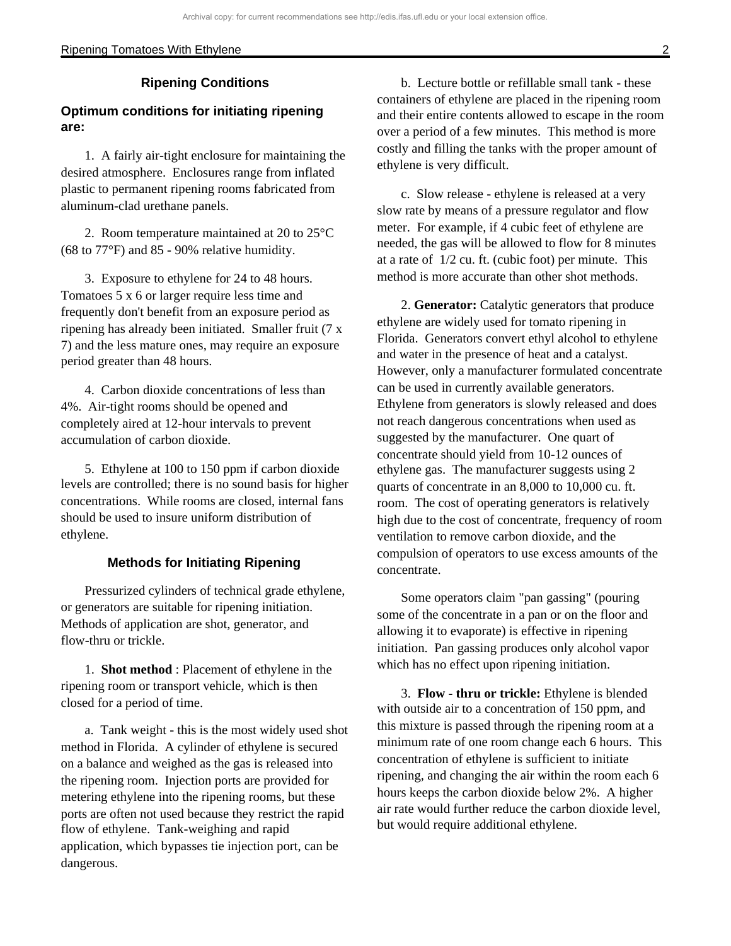#### Ripening Tomatoes With Ethylene 2

#### **Ripening Conditions**

### **Optimum conditions for initiating ripening are:**

1. A fairly air-tight enclosure for maintaining the desired atmosphere. Enclosures range from inflated plastic to permanent ripening rooms fabricated from aluminum-clad urethane panels.

2. Room temperature maintained at 20 to 25°C (68 to 77°F) and 85 - 90% relative humidity.

3. Exposure to ethylene for 24 to 48 hours. Tomatoes 5 x 6 or larger require less time and frequently don't benefit from an exposure period as ripening has already been initiated. Smaller fruit (7 x 7) and the less mature ones, may require an exposure period greater than 48 hours.

4. Carbon dioxide concentrations of less than 4%. Air-tight rooms should be opened and completely aired at 12-hour intervals to prevent accumulation of carbon dioxide.

5. Ethylene at 100 to 150 ppm if carbon dioxide levels are controlled; there is no sound basis for higher concentrations. While rooms are closed, internal fans should be used to insure uniform distribution of ethylene.

#### **Methods for Initiating Ripening**

Pressurized cylinders of technical grade ethylene, or generators are suitable for ripening initiation. Methods of application are shot, generator, and flow-thru or trickle.

1. **Shot method** : Placement of ethylene in the ripening room or transport vehicle, which is then closed for a period of time.

a. Tank weight - this is the most widely used shot method in Florida. A cylinder of ethylene is secured on a balance and weighed as the gas is released into the ripening room. Injection ports are provided for metering ethylene into the ripening rooms, but these ports are often not used because they restrict the rapid flow of ethylene. Tank-weighing and rapid application, which bypasses tie injection port, can be dangerous.

b. Lecture bottle or refillable small tank - these containers of ethylene are placed in the ripening room and their entire contents allowed to escape in the room over a period of a few minutes. This method is more costly and filling the tanks with the proper amount of ethylene is very difficult.

c. Slow release - ethylene is released at a very slow rate by means of a pressure regulator and flow meter. For example, if 4 cubic feet of ethylene are needed, the gas will be allowed to flow for 8 minutes at a rate of 1/2 cu. ft. (cubic foot) per minute. This method is more accurate than other shot methods.

2. **Generator:** Catalytic generators that produce ethylene are widely used for tomato ripening in Florida. Generators convert ethyl alcohol to ethylene and water in the presence of heat and a catalyst. However, only a manufacturer formulated concentrate can be used in currently available generators. Ethylene from generators is slowly released and does not reach dangerous concentrations when used as suggested by the manufacturer. One quart of concentrate should yield from 10-12 ounces of ethylene gas. The manufacturer suggests using 2 quarts of concentrate in an 8,000 to 10,000 cu. ft. room. The cost of operating generators is relatively high due to the cost of concentrate, frequency of room ventilation to remove carbon dioxide, and the compulsion of operators to use excess amounts of the concentrate.

Some operators claim "pan gassing" (pouring some of the concentrate in a pan or on the floor and allowing it to evaporate) is effective in ripening initiation. Pan gassing produces only alcohol vapor which has no effect upon ripening initiation.

3. **Flow - thru or trickle:** Ethylene is blended with outside air to a concentration of 150 ppm, and this mixture is passed through the ripening room at a minimum rate of one room change each 6 hours. This concentration of ethylene is sufficient to initiate ripening, and changing the air within the room each 6 hours keeps the carbon dioxide below 2%. A higher air rate would further reduce the carbon dioxide level, but would require additional ethylene.